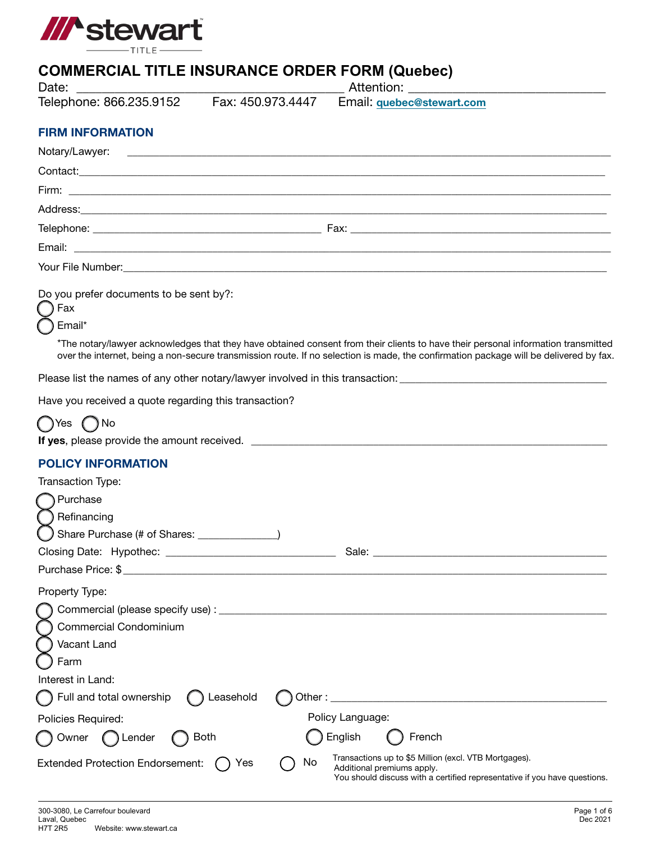

# **COMMERCIAL TITLE INSURANCE ORDER FORM (Quebec)**

| Date:                                                           |             |                                                                                                                                                                  |
|-----------------------------------------------------------------|-------------|------------------------------------------------------------------------------------------------------------------------------------------------------------------|
| Telephone: 866.235.9152    Fax: 450.973.4447                    |             | Email: quebec@stewart.com                                                                                                                                        |
| <b>FIRM INFORMATION</b>                                         |             |                                                                                                                                                                  |
| Notary/Lawyer:                                                  |             |                                                                                                                                                                  |
|                                                                 |             |                                                                                                                                                                  |
|                                                                 |             |                                                                                                                                                                  |
|                                                                 |             |                                                                                                                                                                  |
|                                                                 |             |                                                                                                                                                                  |
|                                                                 |             |                                                                                                                                                                  |
|                                                                 |             | Your File Number: 2008. 2009. 2010. 2010. 2010. 2010. 2010. 2010. 2010. 2010. 2010. 2010. 2010. 2010. 2010. 20                                                   |
| Do you prefer documents to be sent by?:<br>Fax<br>Email*        |             | *The notary/lawyer acknowledges that they have obtained consent from their clients to have their personal information transmitted                                |
|                                                                 |             | over the internet, being a non-secure transmission route. If no selection is made, the confirmation package will be delivered by fax.                            |
|                                                                 |             | Please list the names of any other notary/lawyer involved in this transaction:                                                                                   |
| Have you received a quote regarding this transaction?           |             |                                                                                                                                                                  |
| ◯Yes ◯No                                                        |             |                                                                                                                                                                  |
|                                                                 |             |                                                                                                                                                                  |
| <b>POLICY INFORMATION</b>                                       |             |                                                                                                                                                                  |
| Transaction Type:                                               |             |                                                                                                                                                                  |
| Purchase                                                        |             |                                                                                                                                                                  |
| ◯ Refinancing                                                   |             |                                                                                                                                                                  |
| () Share Purchase (# of Shares: _____________)                  |             |                                                                                                                                                                  |
| Closing Date: Hypothec:                                         |             | Sale:                                                                                                                                                            |
| Purchase Price: \$                                              |             |                                                                                                                                                                  |
| Property Type:<br>Commercial Condominium<br>Vacant Land<br>Farm |             |                                                                                                                                                                  |
| Interest in Land:                                               |             |                                                                                                                                                                  |
| Full and total ownership                                        | Leasehold   |                                                                                                                                                                  |
| Policies Required:                                              |             | Policy Language:                                                                                                                                                 |
| Owner<br>Lender                                                 | <b>Both</b> | English<br>French                                                                                                                                                |
| <b>Extended Protection Endorsement:</b>                         | No<br>Yes   | Transactions up to \$5 Million (excl. VTB Mortgages).<br>Additional premiums apply.<br>You should discuss with a certified representative if you have questions. |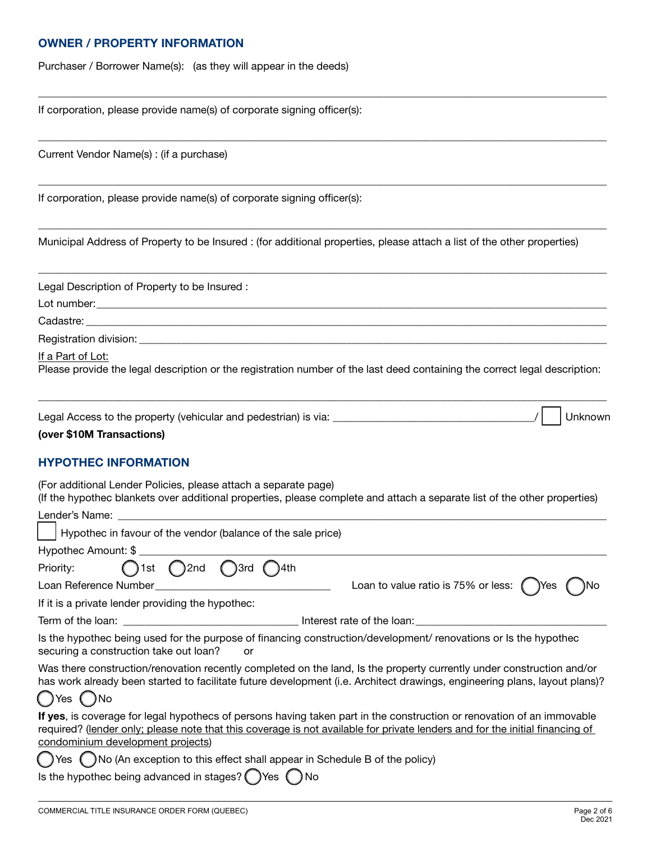#### **OWNER / PROPERTY INFORMATION**

Purchaser / Borrower Name(s): (as they will appear in the deeds)

If corporation, please provide name(s) of corporate signing officer(s):

Current Vendor Name(s) : (if a purchase)

If corporation, please provide name(s) of corporate signing officer(s):

Municipal Address of Property to be Insured : (for additional properties, please attach a list of the other properties)

\_\_\_\_\_\_\_\_\_\_\_\_\_\_\_\_\_\_\_\_\_\_\_\_\_\_\_\_\_\_\_\_\_\_\_\_\_\_\_\_\_\_\_\_\_\_\_\_\_\_\_\_\_\_\_\_\_\_\_\_\_\_\_\_\_\_\_\_\_\_\_\_\_\_\_\_\_\_\_\_\_\_\_\_\_\_\_\_\_\_\_\_\_\_\_\_\_\_\_\_\_\_\_\_\_\_\_

\_\_\_\_\_\_\_\_\_\_\_\_\_\_\_\_\_\_\_\_\_\_\_\_\_\_\_\_\_\_\_\_\_\_\_\_\_\_\_\_\_\_\_\_\_\_\_\_\_\_\_\_\_\_\_\_\_\_\_\_\_\_\_\_\_\_\_\_\_\_\_\_\_\_\_\_\_\_\_\_\_\_\_\_\_\_\_\_\_\_\_\_\_\_\_\_\_\_\_\_\_\_\_\_\_\_\_

\_\_\_\_\_\_\_\_\_\_\_\_\_\_\_\_\_\_\_\_\_\_\_\_\_\_\_\_\_\_\_\_\_\_\_\_\_\_\_\_\_\_\_\_\_\_\_\_\_\_\_\_\_\_\_\_\_\_\_\_\_\_\_\_\_\_\_\_\_\_\_\_\_\_\_\_\_\_\_\_\_\_\_\_\_\_\_\_\_\_\_\_\_\_\_\_\_\_\_\_\_\_\_\_\_\_\_

\_\_\_\_\_\_\_\_\_\_\_\_\_\_\_\_\_\_\_\_\_\_\_\_\_\_\_\_\_\_\_\_\_\_\_\_\_\_\_\_\_\_\_\_\_\_\_\_\_\_\_\_\_\_\_\_\_\_\_\_\_\_\_\_\_\_\_\_\_\_\_\_\_\_\_\_\_\_\_\_\_\_\_\_\_\_\_\_\_\_\_\_\_\_\_\_\_\_\_\_\_\_\_\_\_\_\_

\_\_\_\_\_\_\_\_\_\_\_\_\_\_\_\_\_\_\_\_\_\_\_\_\_\_\_\_\_\_\_\_\_\_\_\_\_\_\_\_\_\_\_\_\_\_\_\_\_\_\_\_\_\_\_\_\_\_\_\_\_\_\_\_\_\_\_\_\_\_\_\_\_\_\_\_\_\_\_\_\_\_\_\_\_\_\_\_\_\_\_\_\_\_\_\_\_\_\_\_\_\_\_\_\_\_\_

Legal Description of Property to be Insured :

Lot number:

Cadastre:

Registration division: \_

If a Part of Lot:

Please provide the legal description or the registration number of the last deed containing the correct legal description:

| Legal Access to the property (vehicular and pedestrian) is via: | Unknown |
|-----------------------------------------------------------------|---------|
|-----------------------------------------------------------------|---------|

\_\_\_\_\_\_\_\_\_\_\_\_\_\_\_\_\_\_\_\_\_\_\_\_\_\_\_\_\_\_\_\_\_\_\_\_\_\_\_\_\_\_\_\_\_\_\_\_\_\_\_\_\_\_\_\_\_\_\_\_\_\_\_\_\_\_\_\_\_\_\_\_\_\_\_\_\_\_\_\_\_\_\_\_\_\_\_\_\_\_\_\_\_\_\_\_\_\_\_\_\_\_\_\_\_\_\_

### **(over \$10M Transactions)**

#### **HYPOTHEC INFORMATION**

(For additional Lender Policies, please attach a separate page) (If the hypothec blankets over additional properties, please complete and attach a separate list of the other properties)

| Hypothec in favour of the vendor (balance of the sale price)                                                                                                                                                                                                                                |                                                      |  |  |  |
|---------------------------------------------------------------------------------------------------------------------------------------------------------------------------------------------------------------------------------------------------------------------------------------------|------------------------------------------------------|--|--|--|
| Hypothec Amount: \$                                                                                                                                                                                                                                                                         |                                                      |  |  |  |
| $\bigcap$ 1st $\bigcap$ 2nd $\bigcap$ 3rd<br>Priority:<br>$( )$ 4th                                                                                                                                                                                                                         |                                                      |  |  |  |
| Loan Reference Number <b>Example 2018</b>                                                                                                                                                                                                                                                   | Loan to value ratio is 75% or less: $\bigcirc$ Yes ( |  |  |  |
| If it is a private lender providing the hypothec:                                                                                                                                                                                                                                           |                                                      |  |  |  |
|                                                                                                                                                                                                                                                                                             |                                                      |  |  |  |
| Is the hypothec being used for the purpose of financing construction/development/ renovations or Is the hypothec<br>securing a construction take out loan?<br>or                                                                                                                            |                                                      |  |  |  |
| Was there construction/renovation recently completed on the land, Is the property currently under construction and/or<br>has work already been started to facilitate future development (i.e. Architect drawings, engineering plans, layout plans)?<br>$\bigcap$ Yes $\bigcap$ No           |                                                      |  |  |  |
| If yes, is coverage for legal hypothecs of persons having taken part in the construction or renovation of an immovable<br>required? (lender only; please note that this coverage is not available for private lenders and for the initial financing of<br>condominium development projects) |                                                      |  |  |  |
| ◯ Yes ◯ No (An exception to this effect shall appear in Schedule B of the policy)                                                                                                                                                                                                           |                                                      |  |  |  |
| Is the hypothec being advanced in stages? OYes ONo                                                                                                                                                                                                                                          |                                                      |  |  |  |
|                                                                                                                                                                                                                                                                                             |                                                      |  |  |  |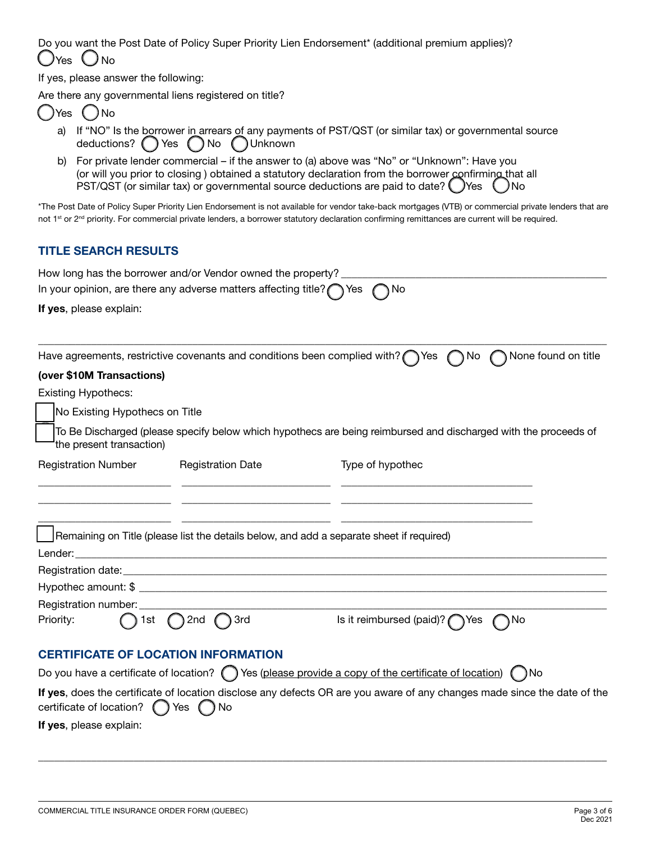Do you want the Post Date of Policy Super Priority Lien Endorsement\* (additional premium applies)? () Yes () No

If yes, please answer the following:

Are there any governmental liens registered on title?

| Yes | ≠No |
|-----|-----|
|     |     |

- a) If "NO" Is the borrower in arrears of any payments of PST/QST (or similar tax) or governmental source deductions? ( ) Yes ( ) No ( ) Unknown
- b) For private lender commercial if the answer to (a) above was "No" or "Unknown": Have you (or will you prior to closing ) obtained a statutory declaration from the borrower confirming that all PST/QST (or similar tax) or governmental source deductions are paid to date?  $\bigcirc$  Yes  $\bigcirc$  No

\*The Post Date of Policy Super Priority Lien Endorsement is not available for vendor take-back mortgages (VTB) or commercial private lenders that are not 1<sup>st</sup> or 2<sup>nd</sup> priority. For commercial private lenders, a borrower statutory declaration confirming remittances are current will be required.

## **TITLE SEARCH RESULTS**

|                                                                                                                                                                         | How long has the borrower and/or Vendor owned the property? |                                                                                                                       |  |  |
|-------------------------------------------------------------------------------------------------------------------------------------------------------------------------|-------------------------------------------------------------|-----------------------------------------------------------------------------------------------------------------------|--|--|
| In your opinion, are there any adverse matters affecting title? $\bigcap$ Yes<br>no                                                                                     |                                                             |                                                                                                                       |  |  |
| If yes, please explain:                                                                                                                                                 |                                                             |                                                                                                                       |  |  |
| (over \$10M Transactions)                                                                                                                                               |                                                             | Have agreements, restrictive covenants and conditions been complied with? $\bigcap$ Yes<br>None found on title<br>No. |  |  |
| <b>Existing Hypothecs:</b>                                                                                                                                              |                                                             |                                                                                                                       |  |  |
| No Existing Hypothecs on Title                                                                                                                                          |                                                             |                                                                                                                       |  |  |
| To Be Discharged (please specify below which hypothecs are being reimbursed and discharged with the proceeds of<br>the present transaction)                             |                                                             |                                                                                                                       |  |  |
| <b>Registration Number</b>                                                                                                                                              | <b>Registration Date</b>                                    | Type of hypothec                                                                                                      |  |  |
|                                                                                                                                                                         |                                                             |                                                                                                                       |  |  |
|                                                                                                                                                                         |                                                             |                                                                                                                       |  |  |
|                                                                                                                                                                         |                                                             |                                                                                                                       |  |  |
|                                                                                                                                                                         |                                                             | Remaining on Title (please list the details below, and add a separate sheet if required)                              |  |  |
|                                                                                                                                                                         |                                                             |                                                                                                                       |  |  |
|                                                                                                                                                                         |                                                             |                                                                                                                       |  |  |
|                                                                                                                                                                         |                                                             |                                                                                                                       |  |  |
| Registration number: ____________<br>Priority:<br>1st -                                                                                                                 | $\bigcap$ 2nd $\bigcap$ 3rd                                 | Is it reimbursed (paid)? \\ Yes<br>つNo                                                                                |  |  |
| <b>CERTIFICATE OF LOCATION INFORMATION</b>                                                                                                                              |                                                             |                                                                                                                       |  |  |
| Do you have a certificate of location? $\bigcirc$ Yes (please provide a copy of the certificate of location) $\bigcirc$ No                                              |                                                             |                                                                                                                       |  |  |
| If yes, does the certificate of location disclose any defects OR are you aware of any changes made since the date of the<br>certificate of location?<br>$( )$ Yes<br>No |                                                             |                                                                                                                       |  |  |
| If yes, please explain:                                                                                                                                                 |                                                             |                                                                                                                       |  |  |

\_\_\_\_\_\_\_\_\_\_\_\_\_\_\_\_\_\_\_\_\_\_\_\_\_\_\_\_\_\_\_\_\_\_\_\_\_\_\_\_\_\_\_\_\_\_\_\_\_\_\_\_\_\_\_\_\_\_\_\_\_\_\_\_\_\_\_\_\_\_\_\_\_\_\_\_\_\_\_\_\_\_\_\_\_\_\_\_\_\_\_\_\_\_\_\_\_\_\_\_\_\_\_\_\_\_\_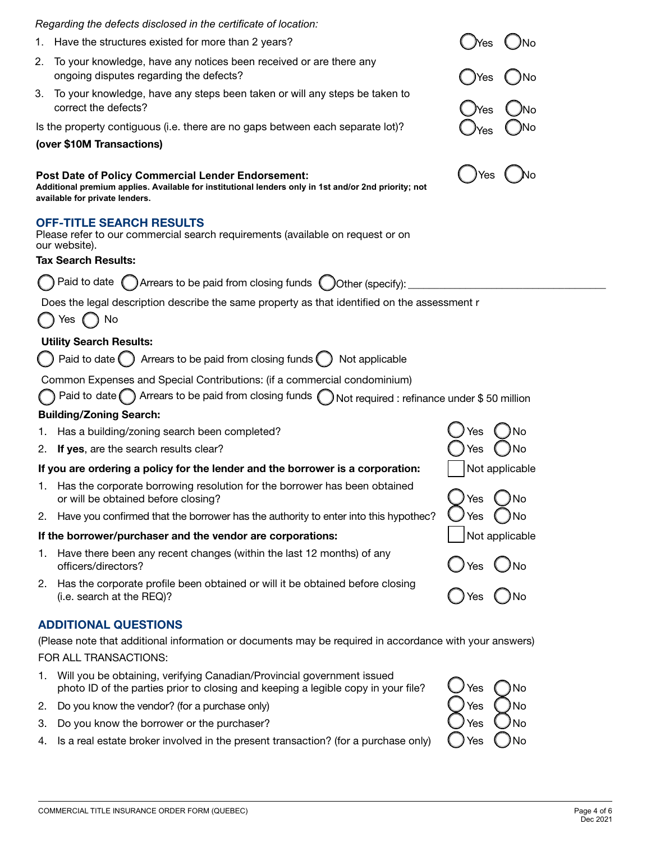| Regarding the defects disclosed in the certificate of location:                                                                                                                                     |                                          |  |
|-----------------------------------------------------------------------------------------------------------------------------------------------------------------------------------------------------|------------------------------------------|--|
| 1. Have the structures existed for more than 2 years?                                                                                                                                               |                                          |  |
| 2. To your knowledge, have any notices been received or are there any<br>ongoing disputes regarding the defects?                                                                                    | Yes                                      |  |
| 3. To your knowledge, have any steps been taken or will any steps be taken to<br>correct the defects?                                                                                               | Yes                                      |  |
| Is the property contiguous (i.e. there are no gaps between each separate lot)?<br>(over \$10M Transactions)                                                                                         |                                          |  |
| <b>Post Date of Policy Commercial Lender Endorsement:</b><br>Additional premium applies. Available for institutional lenders only in 1st and/or 2nd priority; not<br>available for private lenders. | ) Yes                                    |  |
| <b>OFF-TITLE SEARCH RESULTS</b><br>Please refer to our commercial search requirements (available on request or on<br>our website).                                                                  |                                          |  |
| <b>Tax Search Results:</b>                                                                                                                                                                          |                                          |  |
| ◯ Paid to date ◯ Arrears to be paid from closing funds ◯ Other (specify):                                                                                                                           |                                          |  |
| Does the legal description describe the same property as that identified on the assessment r<br>$\bigcap$ Yes $\bigcap$ No                                                                          |                                          |  |
| <b>Utility Search Results:</b>                                                                                                                                                                      |                                          |  |
| $\bigcirc$ Paid to date $\bigcirc$ Arrears to be paid from closing funds $\bigcirc$ Not applicable                                                                                                  |                                          |  |
| Common Expenses and Special Contributions: (if a commercial condominium)                                                                                                                            |                                          |  |
| ◯ Paid to date ◯ Arrears to be paid from closing funds ◯ Not required : refinance under \$50 million                                                                                                |                                          |  |
| <b>Building/Zoning Search:</b>                                                                                                                                                                      |                                          |  |
| 1. Has a building/zoning search been completed?                                                                                                                                                     |                                          |  |
| 2. If yes, are the search results clear?                                                                                                                                                            | )No                                      |  |
| If you are ordering a policy for the lender and the borrower is a corporation:                                                                                                                      | Not applicable                           |  |
| 1. Has the corporate borrowing resolution for the borrower has been obtained<br>or will be obtained before closing?                                                                                 | $\overline{\phantom{0}}$<br>Yes<br>( )No |  |
| 2. Have you confirmed that the borrower has the authority to enter into this hypothec?                                                                                                              | Yes<br>– JNo                             |  |
| If the borrower/purchaser and the vendor are corporations:                                                                                                                                          | Not applicable                           |  |
| 1. Have there been any recent changes (within the last 12 months) of any<br>officers/directors?                                                                                                     |                                          |  |
| 2. Has the corporate profile been obtained or will it be obtained before closing<br>(i.e. search at the REQ)?                                                                                       | ⊃Yes ○No<br>つYes ○No                     |  |
| <b>ADDITIONAL QUESTIONS</b>                                                                                                                                                                         |                                          |  |
| (Please note that additional information or documents may be required in accordance with your answers)                                                                                              |                                          |  |
| FOR ALL TRANSACTIONS:                                                                                                                                                                               |                                          |  |

- 1. Will you be obtaining, verifying Canadian/Provincial government issued photo ID of the parties prior to closing and keeping a legible copy in your file?  $\bigcup$  Yes  $\bigcap$  No
- 2. Do you know the vendor? (for a purchase only)  $\bigcirc$   $\bigcirc$   $\bigcirc$   $\bigcirc$   $\bigcirc$   $\bigcirc$   $\bigcirc$   $\bigcirc$   $\bigcirc$   $\bigcirc$   $\bigcirc$   $\bigcirc$   $\bigcirc$
- 3. Do you know the borrower or the purchaser?  $\bigcup$  Yes
- 4. Is a real estate broker involved in the present transaction? (for a purchase only)  $\bigcirc$  Yes  $\bigcirc$  No

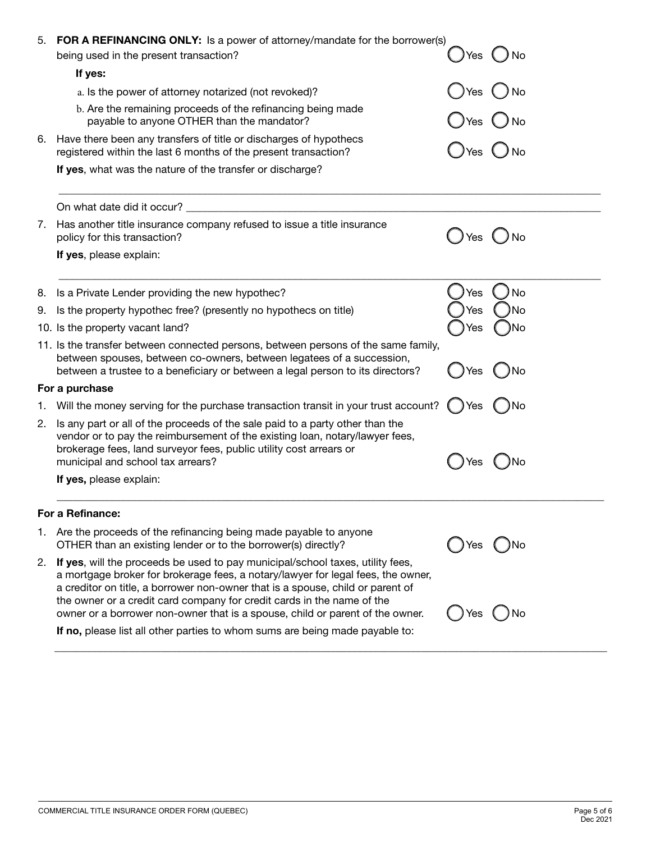| 5. | <b>FOR A REFINANCING ONLY:</b> Is a power of attorney/mandate for the borrower(s)<br>being used in the present transaction?                                                                                                                                                                                                                                                                                     | Yes \ | ) No          |
|----|-----------------------------------------------------------------------------------------------------------------------------------------------------------------------------------------------------------------------------------------------------------------------------------------------------------------------------------------------------------------------------------------------------------------|-------|---------------|
|    | If yes:                                                                                                                                                                                                                                                                                                                                                                                                         |       |               |
|    | a. Is the power of attorney notarized (not revoked)?                                                                                                                                                                                                                                                                                                                                                            | Yes   | No            |
|    | b. Are the remaining proceeds of the refinancing being made                                                                                                                                                                                                                                                                                                                                                     |       |               |
|    | payable to anyone OTHER than the mandator?                                                                                                                                                                                                                                                                                                                                                                      | Yes   | $\bigcup$ No  |
| 6. | Have there been any transfers of title or discharges of hypothecs<br>registered within the last 6 months of the present transaction?                                                                                                                                                                                                                                                                            | ) Yes | $\bigcirc$ No |
|    | If yes, what was the nature of the transfer or discharge?                                                                                                                                                                                                                                                                                                                                                       |       |               |
|    | On what date did it occur?                                                                                                                                                                                                                                                                                                                                                                                      |       |               |
| 7. | Has another title insurance company refused to issue a title insurance<br>policy for this transaction?                                                                                                                                                                                                                                                                                                          | Yes   | $\bigcup$ No  |
|    | If yes, please explain:                                                                                                                                                                                                                                                                                                                                                                                         |       |               |
| 8. | Is a Private Lender providing the new hypothec?                                                                                                                                                                                                                                                                                                                                                                 | Yes   | No            |
| 9. | Is the property hypothec free? (presently no hypothecs on title)                                                                                                                                                                                                                                                                                                                                                | ⁄es   | No            |
|    | 10. Is the property vacant land?                                                                                                                                                                                                                                                                                                                                                                                | Yes   | )No           |
|    | 11. Is the transfer between connected persons, between persons of the same family,<br>between spouses, between co-owners, between legatees of a succession,<br>between a trustee to a beneficiary or between a legal person to its directors?                                                                                                                                                                   | Yes   | No            |
|    | For a purchase                                                                                                                                                                                                                                                                                                                                                                                                  |       |               |
| 1. | Will the money serving for the purchase transaction transit in your trust account?                                                                                                                                                                                                                                                                                                                              | ()Yes | ( )No         |
| 2. | Is any part or all of the proceeds of the sale paid to a party other than the<br>vendor or to pay the reimbursement of the existing loan, notary/lawyer fees,<br>brokerage fees, land surveyor fees, public utility cost arrears or<br>municipal and school tax arrears?                                                                                                                                        | Yes   | )No           |
|    | If yes, please explain:                                                                                                                                                                                                                                                                                                                                                                                         |       |               |
|    | For a Refinance:                                                                                                                                                                                                                                                                                                                                                                                                |       |               |
|    | 1. Are the proceeds of the refinancing being made payable to anyone<br>OTHER than an existing lender or to the borrower(s) directly?                                                                                                                                                                                                                                                                            | l Yes | ( )No         |
| 2. | If yes, will the proceeds be used to pay municipal/school taxes, utility fees,<br>a mortgage broker for brokerage fees, a notary/lawyer for legal fees, the owner,<br>a creditor on title, a borrower non-owner that is a spouse, child or parent of<br>the owner or a credit card company for credit cards in the name of the<br>owner or a borrower non-owner that is a spouse, child or parent of the owner. | Yes   | No            |
|    | If no, please list all other parties to whom sums are being made payable to:                                                                                                                                                                                                                                                                                                                                    |       |               |